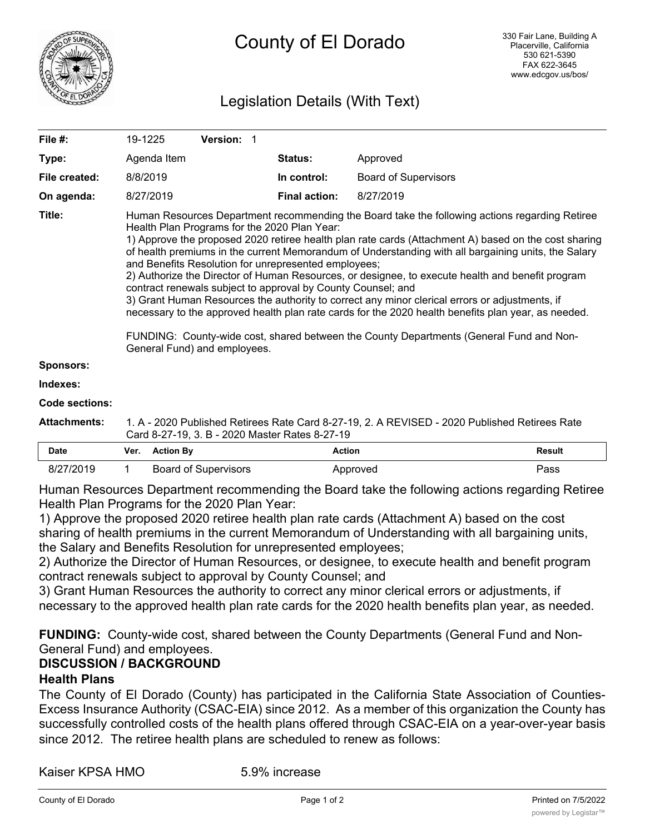

# County of El Dorado

## Legislation Details (With Text)

| File #:               | 19-1225                                                                                                                                                                                                                                                                                                                                                                                                                                                                                                                                                                                                                                                                                                                                                                                                                                                                                                                       | Version: 1 |                      |                             |  |
|-----------------------|-------------------------------------------------------------------------------------------------------------------------------------------------------------------------------------------------------------------------------------------------------------------------------------------------------------------------------------------------------------------------------------------------------------------------------------------------------------------------------------------------------------------------------------------------------------------------------------------------------------------------------------------------------------------------------------------------------------------------------------------------------------------------------------------------------------------------------------------------------------------------------------------------------------------------------|------------|----------------------|-----------------------------|--|
| Type:                 | Agenda Item                                                                                                                                                                                                                                                                                                                                                                                                                                                                                                                                                                                                                                                                                                                                                                                                                                                                                                                   |            | <b>Status:</b>       | Approved                    |  |
| File created:         | 8/8/2019                                                                                                                                                                                                                                                                                                                                                                                                                                                                                                                                                                                                                                                                                                                                                                                                                                                                                                                      |            | In control:          | <b>Board of Supervisors</b> |  |
| On agenda:            | 8/27/2019                                                                                                                                                                                                                                                                                                                                                                                                                                                                                                                                                                                                                                                                                                                                                                                                                                                                                                                     |            | <b>Final action:</b> | 8/27/2019                   |  |
| Title:                | Human Resources Department recommending the Board take the following actions regarding Retiree<br>Health Plan Programs for the 2020 Plan Year:<br>1) Approve the proposed 2020 retiree health plan rate cards (Attachment A) based on the cost sharing<br>of health premiums in the current Memorandum of Understanding with all bargaining units, the Salary<br>and Benefits Resolution for unrepresented employees;<br>2) Authorize the Director of Human Resources, or designee, to execute health and benefit program<br>contract renewals subject to approval by County Counsel; and<br>3) Grant Human Resources the authority to correct any minor clerical errors or adjustments, if<br>necessary to the approved health plan rate cards for the 2020 health benefits plan year, as needed.<br>FUNDING: County-wide cost, shared between the County Departments (General Fund and Non-<br>General Fund) and employees. |            |                      |                             |  |
| <b>Sponsors:</b>      |                                                                                                                                                                                                                                                                                                                                                                                                                                                                                                                                                                                                                                                                                                                                                                                                                                                                                                                               |            |                      |                             |  |
| Indexes:              |                                                                                                                                                                                                                                                                                                                                                                                                                                                                                                                                                                                                                                                                                                                                                                                                                                                                                                                               |            |                      |                             |  |
| <b>Code sections:</b> |                                                                                                                                                                                                                                                                                                                                                                                                                                                                                                                                                                                                                                                                                                                                                                                                                                                                                                                               |            |                      |                             |  |
| <b>Attachments:</b>   | 1. A - 2020 Published Retirees Rate Card 8-27-19, 2. A REVISED - 2020 Published Retirees Rate<br>Card 8-27-19, 3. B - 2020 Master Rates 8-27-19                                                                                                                                                                                                                                                                                                                                                                                                                                                                                                                                                                                                                                                                                                                                                                               |            |                      |                             |  |

| <b>Date</b> | Ver. | Action Bv            | Action   | <b>Result</b> |
|-------------|------|----------------------|----------|---------------|
| 8/2         |      | Board of Supervisors | Approved | Pass          |

Human Resources Department recommending the Board take the following actions regarding Retiree Health Plan Programs for the 2020 Plan Year:

1) Approve the proposed 2020 retiree health plan rate cards (Attachment A) based on the cost sharing of health premiums in the current Memorandum of Understanding with all bargaining units, the Salary and Benefits Resolution for unrepresented employees;

2) Authorize the Director of Human Resources, or designee, to execute health and benefit program contract renewals subject to approval by County Counsel; and

3) Grant Human Resources the authority to correct any minor clerical errors or adjustments, if necessary to the approved health plan rate cards for the 2020 health benefits plan year, as needed.

**FUNDING:** County-wide cost, shared between the County Departments (General Fund and Non-General Fund) and employees.

## **DISCUSSION / BACKGROUND**

#### **Health Plans**

The County of El Dorado (County) has participated in the California State Association of Counties-Excess Insurance Authority (CSAC-EIA) since 2012. As a member of this organization the County has successfully controlled costs of the health plans offered through CSAC-EIA on a year-over-year basis since 2012. The retiree health plans are scheduled to renew as follows:

Kaiser KPSA HMO 5.9% increase